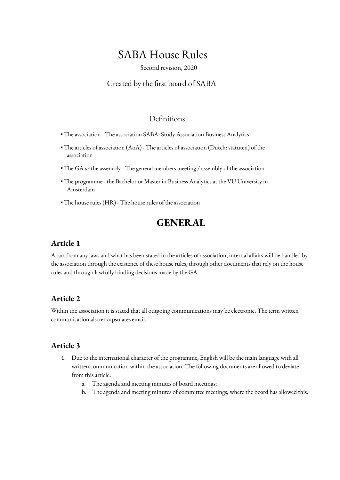# SABA House Rules

Second revision, 2020

### Created by the first board of SABA

### Definitions

- The association The association SABA: Study Association Business Analytics
- The articles of association (AoA) The articles of association (Dutch: statuten) of the association
- The GA *or* the assembly The general members meeting / assembly of the association
- The programme the Bachelor or Master in Business Analytics at the VU University in Amsterdam
- The house rules (HR) The house rules of the association

## **GENERAL**

### **Article 1**

Apart from any laws and what has been stated in the articles of association, internal affairs will be handled by the association through the existence of these house rules, through other documents that rely on the house rules and through lawfully binding decisions made by the GA.

### **Article 2**

Within the association it is stated that all outgoing communications may be electronic. The term written communication also encapsulates email.

- 1. Due to the international character of the programme, English will be the main language with all written communication within the association. The following documents are allowed to deviate from this article:
	- a. The agenda and meeting minutes of board meetings;
	- b. The agenda and meeting minutes of committee meetings, where the board has allowed this.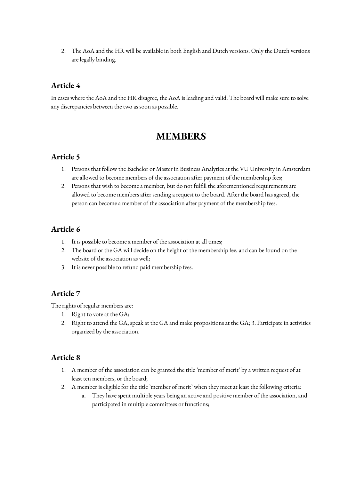2. The AoA and the HR will be available in both English and Dutch versions. Only the Dutch versions are legally binding.

### **Article 4**

In cases where the AoA and the HR disagree, the AoA is leading and valid. The board will make sure to solve any discrepancies between the two as soon as possible.

## **MEMBERS**

### **Article 5**

- 1. Persons that follow the Bachelor or Master in Business Analytics at the VU University in Amsterdam are allowed to become members of the association after payment of the membership fees;
- 2. Persons that wish to become a member, but do not fulfill the aforementioned requirements are allowed to become members after sending a request to the board. After the board has agreed, the person can become a member of the association after payment of the membership fees.

### **Article 6**

- 1. It is possible to become a member of the association at all times;
- 2. The board or the GA will decide on the height of the membership fee, and can be found on the website of the association as well;
- 3. It is never possible to refund paid membership fees.

### **Article 7**

The rights of regular members are:

- 1. Right to vote at the GA;
- 2. Right to attend the GA, speak at the GA and make propositions at the GA; 3. Participate in activities organized by the association.

- 1. A member of the association can be granted the title 'member of merit' by a written request of at least ten members, or the board;
- 2. A member is eligible for the title 'member of merit' when they meet at least the following criteria:
	- a. They have spent multiple years being an active and positive member of the association, and participated in multiple committees or functions;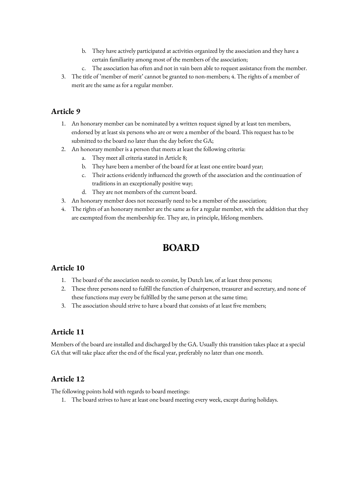- b. They have actively participated at activities organized by the association and they have a certain familiarity among most of the members of the association;
- c. The association has often and not in vain been able to request assistance from the member.
- 3. The title of 'member of merit' cannot be granted to non-members; 4. The rights of a member of merit are the same as for a regular member.

- 1. An honorary member can be nominated by a written request signed by at least ten members, endorsed by at least six persons who are or were a member of the board. This request has to be submitted to the board no later than the day before the GA;
- 2. An honorary member is a person that meets at least the following criteria:
	- a. They meet all criteria stated in Article 8;
	- b. They have been a member of the board for at least one entire board year;
	- c. Their actions evidently influenced the growth of the association and the continuation of traditions in an exceptionally positive way;
	- d. They are not members of the current board.
- 3. An honorary member does not necessarily need to be a member of the association;
- 4. The rights of an honorary member are the same as for a regular member, with the addition that they are exempted from the membership fee. They are, in principle, lifelong members.

# **BOARD**

### **Article 10**

- 1. The board of the association needs to consist, by Dutch law, of at least three persons;
- 2. These three persons need to fulfill the function of chairperson, treasurer and secretary, and none of these functions may every be fulfilled by the same person at the same time;
- 3. The association should strive to have a board that consists of at least five members;

### **Article 11**

Members of the board are installed and discharged by the GA. Usually this transition takes place at a special GA that will take place after the end of the fiscal year, preferably no later than one month.

### **Article 12**

The following points hold with regards to board meetings:

1. The board strives to have at least one board meeting every week, except during holidays.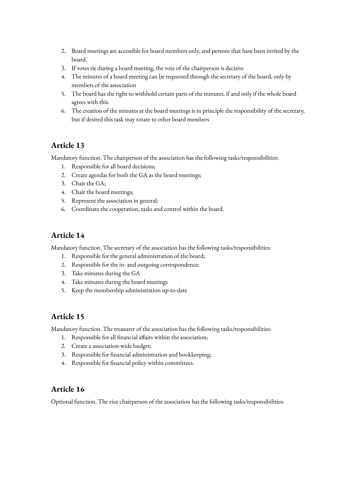- 2. Board meetings are accessible for board members only, and persons that have been invited by the board.
- 3. If votes tie during a board meeting, the vote of the chairperson is decisive
- 4. The minutes of a board meeting can be requested through the secretary of the board, only by members of the association
- 5. The board has the right to withhold certain parts of the minutes, if and only if the whole board agrees with this.
- 6. The creation of the minutes at the board meetings is in principle the responsibility of the secretary, but if desired this task may rotate to other board members

Mandatory function. The chairperson of the association has the following tasks/responsibilities:

- 1. Responsible for all board decisions;
- 2. Create agendas for both the GA as the board meetings;
- 3. Chair the GA;
- 4. Chair the board meetings;
- 5. Represent the association in general;
- 6. Coordinate the cooperation, tasks and control within the board.

### **Article 14**

Mandatory function. The secretary of the association has the following tasks/responsibilities:

- 1. Responsible for the general administration of the board;
- 2. Responsible for the in- and outgoing correspondence;
- 3. Take minutes during the GA
- 4. Take minutes during the board meetings
- 5. Keep the membership administration up-to-date

### **Article 15**

Mandatory function. The treasurer of the association has the following tasks/responsibilities:

- 1. Responsible for all financial affairs within the association;
- 2. Create a association-wide budget;
- 3. Responsible for financial administration and bookkeeping;
- 4. Responsible for financial policy within committees.

### **Article 16**

Optional function. The vice chairperson of the association has the following tasks/responsibilities: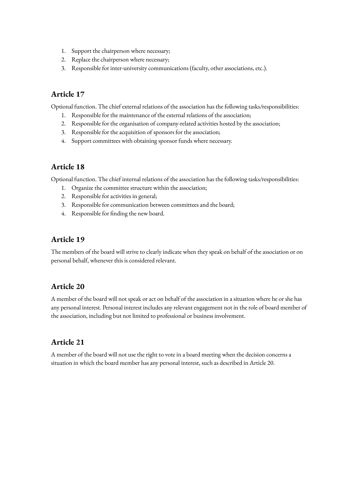- 1. Support the chairperson where necessary;
- 2. Replace the chairperson where necessary;
- 3. Responsible for inter-university communications (faculty, other associations, etc.).

Optional function. The chief external relations of the association has the following tasks/responsibilities:

- 1. Responsible for the maintenance of the external relations of the association;
- 2. Responsible for the organisation of company-related activities hosted by the association;
- 3. Responsible for the acquisition of sponsors for the association;
- 4. Support committees with obtaining sponsor funds where necessary.

### **Article 18**

Optional function. The chief internal relations of the association has the following tasks/responsibilities:

- 1. Organize the committee structure within the association;
- 2. Responsible for activities in general;
- 3. Responsible for communication between committees and the board;
- 4. Responsible for finding the new board.

### **Article 19**

The members of the board will strive to clearly indicate when they speak on behalf of the association or on personal behalf, whenever this is considered relevant.

### **Article 20**

A member of the board will not speak or act on behalf of the association in a situation where he or she has any personal interest. Personal interest includes any relevant engagement not in the role of board member of the association, including but not limited to professional or business involvement.

### **Article 21**

A member of the board will not use the right to vote in a board meeting when the decision concerns a situation in which the board member has any personal interest, such as described in Article 20.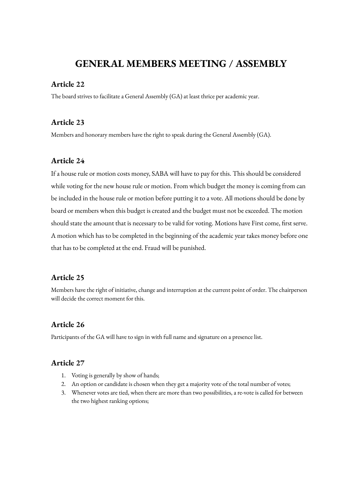## **GENERAL MEMBERS MEETING / ASSEMBLY**

#### **Article 22**

The board strives to facilitate a General Assembly (GA) at least thrice per academic year.

#### **Article 23**

Members and honorary members have the right to speak during the General Assembly (GA).

#### **Article 24**

If a house rule or motion costs money, SABA will have to pay for this. This should be considered while voting for the new house rule or motion. From which budget the money is coming from can be included in the house rule or motion before putting it to a vote. All motions should be done by board or members when this budget is created and the budget must not be exceeded. The motion should state the amount that is necessary to be valid for voting. Motions have First come, first serve. A motion which has to be completed in the beginning of the academic year takes money before one that has to be completed at the end. Fraud will be punished.

#### **Article 25**

Members have the right of initiative, change and interruption at the current point of order. The chairperson will decide the correct moment for this.

### **Article 26**

Participants of the GA will have to sign in with full name and signature on a presence list.

- 1. Voting is generally by show of hands;
- 2. An option or candidate is chosen when they get a majority vote of the total number of votes;
- 3. Whenever votes are tied, when there are more than two possibilities, a re-vote is called for between the two highest ranking options;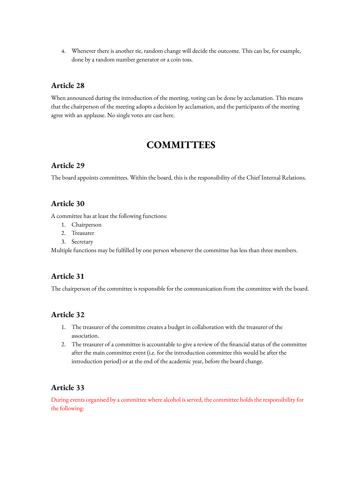4. Whenever there is another tie, random change will decide the outcome. This can be, for example, done by a random number generator or a coin toss.

### **Article 28**

When announced during the introduction of the meeting, voting can be done by acclamation. This means that the chairperson of the meeting adopts a decision by acclamation, and the participants of the meeting agree with an applause. No single votes are cast here.

# **COMMITTEES**

### **Article 29**

The board appoints committees. Within the board, this is the responsibility of the Chief Internal Relations.

### **Article 30**

A committee has at least the following functions:

- 1. Chairperson
- 2. Treasurer
- 3. Secretary

Multiple functions may be fulfilled by one person whenever the committee has less than three members.

#### **Article 31**

The chairperson of the committee is responsible for the communication from the committee with the board.

#### **Article 32**

- 1. The treasurer of the committee creates a budget in collaboration with the treasurer of the association.
- 2. The treasurer of a committee is accountable to give a review of the financial status of the committee after the main committee event (i.e. for the introduction committee this would be after the introduction period) or at the end of the academic year, before the board change.

#### **Article 33**

During events organised by a committee where alcohol is served, the committee holds the responsibility for the following: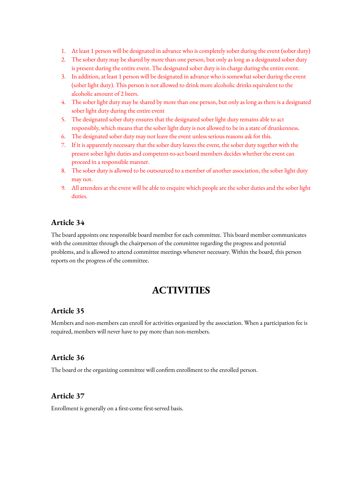- 1. At least 1 person will be designated in advance who is completely sober during the event (sober duty)
- 2. The sober duty may be shared by more than one person, but only as long as a designated sober duty is present during the entire event. The designated sober duty is in charge during the entire event.
- 3. In addition, at least 1 person will be designated in advance who is somewhat sober during the event (sober light duty). This person is not allowed to drink more alcoholic drinks equivalent to the alcoholic amount of 2 beers.
- 4. The sober light duty may be shared by more than one person, but only as long as there is a designated sober light duty during the entire event
- 5. The designated sober duty ensures that the designated sober light duty remains able to act responsibly, which means that the sober light duty is not allowed to be in a state of drunkenness.
- 6. The designated sober duty may not leave the event unless serious reasons ask for this.
- 7. If it is apparently necessary that the sober duty leaves the event, the sober duty together with the present sober light duties and competent-to-act board members decides whether the event can proceed in a responsible manner.
- 8. The sober duty is allowed to be outsourced to a member of another association, the sober light duty may not.
- 9. All attendees at the event will be able to enquire which people are the sober duties and the sober light duties.

The board appoints one responsible board member for each committee. This board member communicates with the committee through the chairperson of the committee regarding the progress and potential problems, and is allowed to attend committee meetings whenever necessary. Within the board, this person reports on the progress of the committee.

## **ACTIVITIES**

### **Article 35**

Members and non-members can enroll for activities organized by the association. When a participation fee is required, members will never have to pay more than non-members.

#### **Article 36**

The board or the organizing committee will confirm enrollment to the enrolled person.

#### **Article 37**

Enrollment is generally on a first-come first-served basis.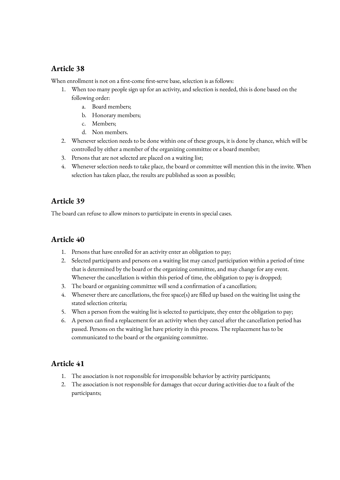When enrollment is not on a first-come first-serve base, selection is as follows:

- 1. When too many people sign up for an activity, and selection is needed, this is done based on the following order:
	- a. Board members;
	- b. Honorary members;
	- c. Members;
	- d. Non members.
- 2. Whenever selection needs to be done within one of these groups, it is done by chance, which will be controlled by either a member of the organizing committee or a board member;
- 3. Persons that are not selected are placed on a waiting list;
- 4. Whenever selection needs to take place, the board or committee will mention this in the invite. When selection has taken place, the results are published as soon as possible;

### **Article 39**

The board can refuse to allow minors to participate in events in special cases.

### **Article 40**

- 1. Persons that have enrolled for an activity enter an obligation to pay;
- 2. Selected participants and persons on a waiting list may cancel participation within a period of time that is determined by the board or the organizing committee, and may change for any event. Whenever the cancellation is within this period of time, the obligation to pay is dropped;
- 3. The board or organizing committee will send a confirmation of a cancellation;
- 4. Whenever there are cancellations, the free space(s) are filled up based on the waiting list using the stated selection criteria;
- 5. When a person from the waiting list is selected to participate, they enter the obligation to pay;
- 6. A person can find a replacement for an activity when they cancel after the cancellation period has passed. Persons on the waiting list have priority in this process. The replacement has to be communicated to the board or the organizing committee.

- 1. The association is not responsible for irresponsible behavior by activity participants;
- 2. The association is not responsible for damages that occur during activities due to a fault of the participants;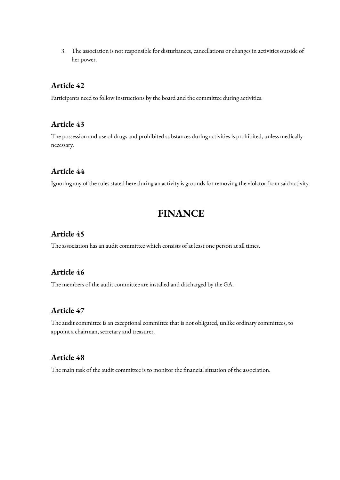3. The association is not responsible for disturbances, cancellations or changes in activities outside of her power.

#### **Article 42**

Participants need to follow instructions by the board and the committee during activities.

#### **Article 43**

The possession and use of drugs and prohibited substances during activities is prohibited, unless medically necessary.

#### **Article 44**

Ignoring any of the rules stated here during an activity is grounds for removing the violator from said activity.

## **FINANCE**

#### **Article 45**

The association has an audit committee which consists of at least one person at all times.

### **Article 46**

The members of the audit committee are installed and discharged by the GA.

### **Article 47**

The audit committee is an exceptional committee that is not obligated, unlike ordinary committees, to appoint a chairman, secretary and treasurer.

#### **Article 48**

The main task of the audit committee is to monitor the financial situation of the association.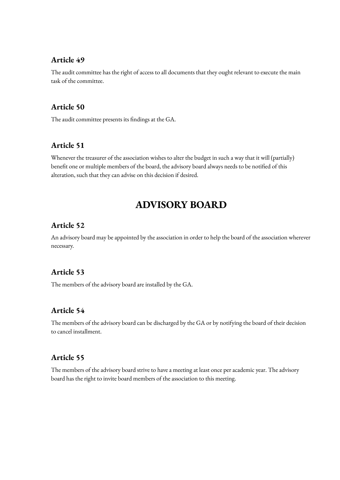The audit committee has the right of access to all documents that they ought relevant to execute the main task of the committee.

#### **Article 50**

The audit committee presents its findings at the GA.

#### **Article 51**

Whenever the treasurer of the association wishes to alter the budget in such a way that it will (partially) benefit one or multiple members of the board, the advisory board always needs to be notified of this alteration, such that they can advise on this decision if desired.

## **ADVISORY BOARD**

#### **Article 52**

An advisory board may be appointed by the association in order to help the board of the association wherever necessary.

### **Article 53**

The members of the advisory board are installed by the GA.

### **Article 54**

The members of the advisory board can be discharged by the GA or by notifying the board of their decision to cancel installment.

### **Article 55**

The members of the advisory board strive to have a meeting at least once per academic year. The advisory board has the right to invite board members of the association to this meeting.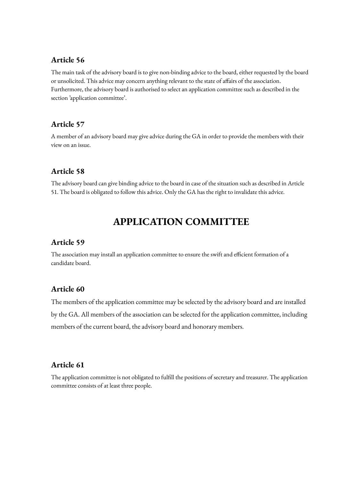The main task of the advisory board is to give non-binding advice to the board, either requested by the board or unsolicited. This advice may concern anything relevant to the state of affairs of the association. Furthermore, the advisory board is authorised to select an application committee such as described in the section 'application committee'.

### **Article 57**

A member of an advisory board may give advice during the GA in order to provide the members with their view on an issue.

### **Article 58**

The advisory board can give binding advice to the board in case of the situation such as described in Article 51. The board is obligated to follow this advice. Only the GA has the right to invalidate this advice.

## **APPLICATION COMMITTEE**

### **Article 59**

The association may install an application committee to ensure the swift and efficient formation of a candidate board.

### **Article 60**

The members of the application committee may be selected by the advisory board and are installed by the GA. All members of the association can be selected for the application committee, including members of the current board, the advisory board and honorary members.

### **Article 61**

The application committee is not obligated to fulfill the positions of secretary and treasurer. The application committee consists of at least three people.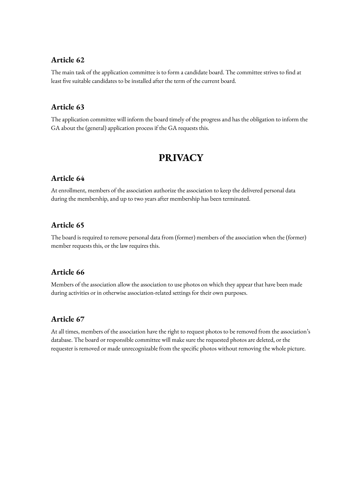The main task of the application committee is to form a candidate board. The committee strives to find at least five suitable candidates to be installed after the term of the current board.

#### **Article 63**

The application committee will inform the board timely of the progress and has the obligation to inform the GA about the (general) application process if the GA requests this.

## **PRIVACY**

#### **Article 64**

At enrollment, members of the association authorize the association to keep the delivered personal data during the membership, and up to two years after membership has been terminated.

#### **Article 65**

The board is required to remove personal data from (former) members of the association when the (former) member requests this, or the law requires this.

#### **Article 66**

Members of the association allow the association to use photos on which they appear that have been made during activities or in otherwise association-related settings for their own purposes.

#### **Article 67**

At all times, members of the association have the right to request photos to be removed from the association's database. The board or responsible committee will make sure the requested photos are deleted, or the requester is removed or made unrecognizable from the specific photos without removing the whole picture.